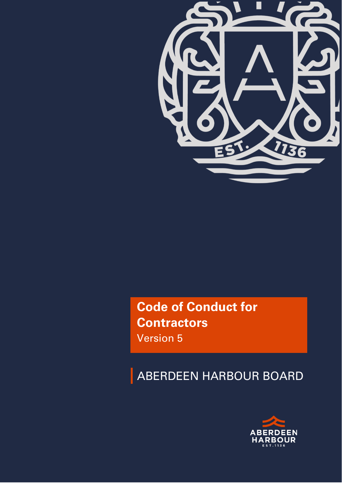

**Code of Conduct for Contractors** Version 5

ABERDEEN HARBOUR BOARD

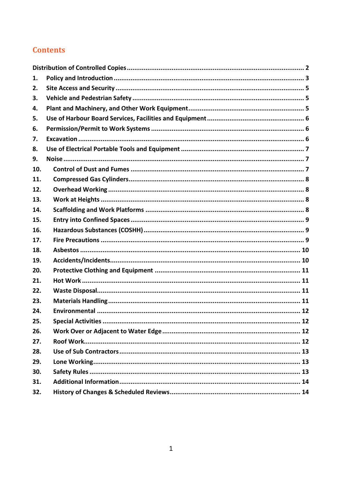# **Contents**

| 1.  |                            |
|-----|----------------------------|
| 2.  |                            |
| 3.  |                            |
| 4.  |                            |
| 5.  |                            |
| 6.  |                            |
| 7.  |                            |
| 8.  |                            |
| 9.  |                            |
| 10. |                            |
| 11. |                            |
| 12. |                            |
| 13. |                            |
| 14. |                            |
| 15. |                            |
| 16. |                            |
| 17. |                            |
| 18. |                            |
| 19. |                            |
| 20. |                            |
| 21. |                            |
| 22. |                            |
| 23. |                            |
| 24. |                            |
| 25. | <b>Special Activities.</b> |
| 26. |                            |
| 27. |                            |
| 28. |                            |
| 29. |                            |
| 30. |                            |
| 31. |                            |
| 32. |                            |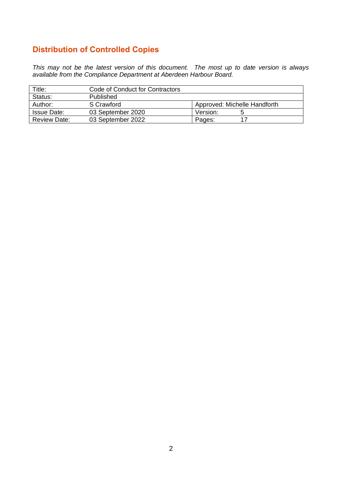# <span id="page-2-0"></span>**Distribution of Controlled Copies**

*This may not be the latest version of this document. The most up to date version is always available from the Compliance Department at Aberdeen Harbour Board.* 

| Title:              | Code of Conduct for Contractors |                              |
|---------------------|---------------------------------|------------------------------|
| Status:             | Published                       |                              |
| Author:             | S Crawford                      | Approved: Michelle Handforth |
| <b>Issue Date:</b>  | 03 September 2020               | Version:<br>G                |
| <b>Review Date:</b> | 03 September 2022               | Pages:<br>17                 |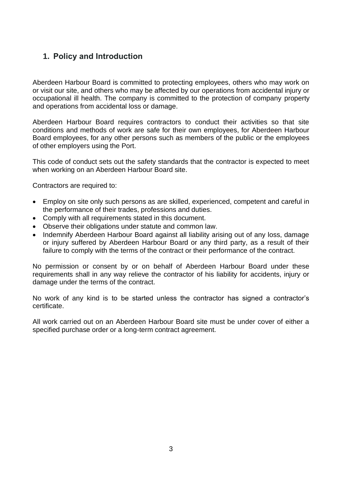# <span id="page-3-0"></span>**1. Policy and Introduction**

Aberdeen Harbour Board is committed to protecting employees, others who may work on or visit our site, and others who may be affected by our operations from accidental injury or occupational ill health. The company is committed to the protection of company property and operations from accidental loss or damage.

Aberdeen Harbour Board requires contractors to conduct their activities so that site conditions and methods of work are safe for their own employees, for Aberdeen Harbour Board employees, for any other persons such as members of the public or the employees of other employers using the Port.

This code of conduct sets out the safety standards that the contractor is expected to meet when working on an Aberdeen Harbour Board site.

Contractors are required to:

- Employ on site only such persons as are skilled, experienced, competent and careful in the performance of their trades, professions and duties.
- Comply with all requirements stated in this document.
- Observe their obligations under statute and common law.
- Indemnify Aberdeen Harbour Board against all liability arising out of any loss, damage or injury suffered by Aberdeen Harbour Board or any third party, as a result of their failure to comply with the terms of the contract or their performance of the contract.

No permission or consent by or on behalf of Aberdeen Harbour Board under these requirements shall in any way relieve the contractor of his liability for accidents, injury or damage under the terms of the contract.

No work of any kind is to be started unless the contractor has signed a contractor's certificate.

All work carried out on an Aberdeen Harbour Board site must be under cover of either a specified purchase order or a long-term contract agreement.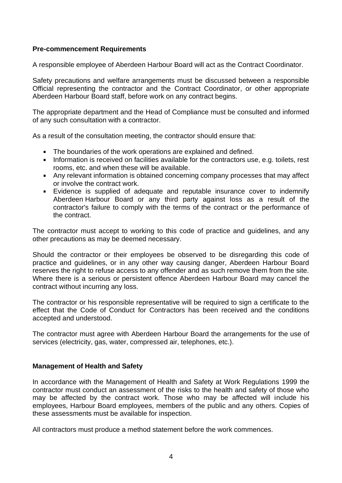#### **Pre-commencement Requirements**

A responsible employee of Aberdeen Harbour Board will act as the Contract Coordinator.

Safety precautions and welfare arrangements must be discussed between a responsible Official representing the contractor and the Contract Coordinator, or other appropriate Aberdeen Harbour Board staff, before work on any contract begins.

The appropriate department and the Head of Compliance must be consulted and informed of any such consultation with a contractor.

As a result of the consultation meeting, the contractor should ensure that:

- The boundaries of the work operations are explained and defined.  $\mathbf{u}$
- Information is received on facilities available for the contractors use, e.g. toilets, rest rooms, etc. and when these will be available.
- Any relevant information is obtained concerning company processes that may affect or involve the contract work.
- $\mathbf{r}$ Evidence is supplied of adequate and reputable insurance cover to indemnify Aberdeen Harbour Board or any third party against loss as a result of the contractor's failure to comply with the terms of the contract or the performance of the contract.

The contractor must accept to working to this code of practice and guidelines, and any other precautions as may be deemed necessary.

Should the contractor or their employees be observed to be disregarding this code of practice and guidelines, or in any other way causing danger, Aberdeen Harbour Board reserves the right to refuse access to any offender and as such remove them from the site. Where there is a serious or persistent offence Aberdeen Harbour Board may cancel the contract without incurring any loss.

The contractor or his responsible representative will be required to sign a certificate to the effect that the Code of Conduct for Contractors has been received and the conditions accepted and understood.

The contractor must agree with Aberdeen Harbour Board the arrangements for the use of services (electricity, gas, water, compressed air, telephones, etc.).

#### **Management of Health and Safety**

In accordance with the Management of Health and Safety at Work Regulations 1999 the contractor must conduct an assessment of the risks to the health and safety of those who may be affected by the contract work. Those who may be affected will include his employees, Harbour Board employees, members of the public and any others. Copies of these assessments must be available for inspection.

All contractors must produce a method statement before the work commences.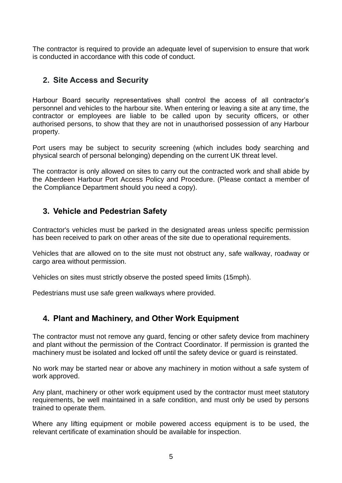The contractor is required to provide an adequate level of supervision to ensure that work is conducted in accordance with this code of conduct.

# <span id="page-5-0"></span>**2. Site Access and Security**

Harbour Board security representatives shall control the access of all contractor's personnel and vehicles to the harbour site. When entering or leaving a site at any time, the contractor or employees are liable to be called upon by security officers, or other authorised persons, to show that they are not in unauthorised possession of any Harbour property.

Port users may be subject to security screening (which includes body searching and physical search of personal belonging) depending on the current UK threat level.

The contractor is only allowed on sites to carry out the contracted work and shall abide by the Aberdeen Harbour Port Access Policy and Procedure. (Please contact a member of the Compliance Department should you need a copy).

# <span id="page-5-1"></span>**3. Vehicle and Pedestrian Safety**

Contractor's vehicles must be parked in the designated areas unless specific permission has been received to park on other areas of the site due to operational requirements.

Vehicles that are allowed on to the site must not obstruct any, safe walkway, roadway or cargo area without permission.

Vehicles on sites must strictly observe the posted speed limits (15mph).

Pedestrians must use safe green walkways where provided.

# <span id="page-5-2"></span>**4. Plant and Machinery, and Other Work Equipment**

The contractor must not remove any guard, fencing or other safety device from machinery and plant without the permission of the Contract Coordinator. If permission is granted the machinery must be isolated and locked off until the safety device or guard is reinstated.

No work may be started near or above any machinery in motion without a safe system of work approved.

Any plant, machinery or other work equipment used by the contractor must meet statutory requirements, be well maintained in a safe condition, and must only be used by persons trained to operate them.

Where any lifting equipment or mobile powered access equipment is to be used, the relevant certificate of examination should be available for inspection.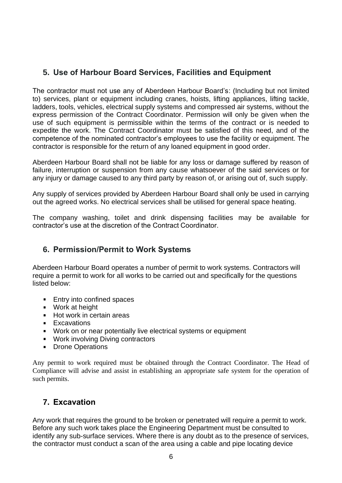# <span id="page-6-0"></span>**5. Use of Harbour Board Services, Facilities and Equipment**

The contractor must not use any of Aberdeen Harbour Board's: (Including but not limited to) services, plant or equipment including cranes, hoists, lifting appliances, lifting tackle, ladders, tools, vehicles, electrical supply systems and compressed air systems, without the express permission of the Contract Coordinator. Permission will only be given when the use of such equipment is permissible within the terms of the contract or is needed to expedite the work. The Contract Coordinator must be satisfied of this need, and of the competence of the nominated contractor's employees to use the facility or equipment. The contractor is responsible for the return of any loaned equipment in good order.

Aberdeen Harbour Board shall not be liable for any loss or damage suffered by reason of failure, interruption or suspension from any cause whatsoever of the said services or for any injury or damage caused to any third party by reason of, or arising out of, such supply.

Any supply of services provided by Aberdeen Harbour Board shall only be used in carrying out the agreed works. No electrical services shall be utilised for general space heating.

The company washing, toilet and drink dispensing facilities may be available for contractor's use at the discretion of the Contract Coordinator.

# <span id="page-6-1"></span>**6. Permission/Permit to Work Systems**

Aberdeen Harbour Board operates a number of permit to work systems. Contractors will require a permit to work for all works to be carried out and specifically for the questions listed below:

- $\mathbf{u}$  . Entry into confined spaces
- Work at height
- **Hot work in certain areas**
- **Excavations**
- Work on or near potentially live electrical systems or equipment
- Work involving Diving contractors
- Drone Operations

Any permit to work required must be obtained through the Contract Coordinator. The Head of Compliance will advise and assist in establishing an appropriate safe system for the operation of such permits.

# <span id="page-6-2"></span>**7. Excavation**

Any work that requires the ground to be broken or penetrated will require a permit to work. Before any such work takes place the Engineering Department must be consulted to identify any sub-surface services. Where there is any doubt as to the presence of services, the contractor must conduct a scan of the area using a cable and pipe locating device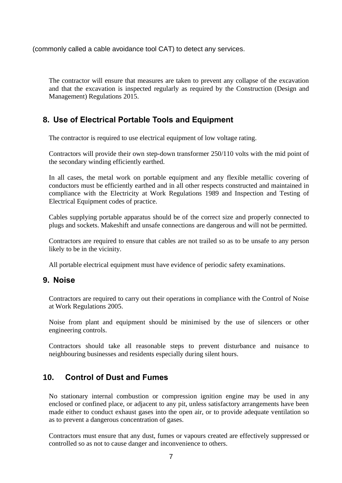(commonly called a cable avoidance tool CAT) to detect any services.

The contractor will ensure that measures are taken to prevent any collapse of the excavation and that the excavation is inspected regularly as required by the Construction (Design and Management) Regulations 2015.

# <span id="page-7-0"></span>**8. Use of Electrical Portable Tools and Equipment**

The contractor is required to use electrical equipment of low voltage rating.

Contractors will provide their own step-down transformer 250/110 volts with the mid point of the secondary winding efficiently earthed.

In all cases, the metal work on portable equipment and any flexible metallic covering of conductors must be efficiently earthed and in all other respects constructed and maintained in compliance with the Electricity at Work Regulations 1989 and Inspection and Testing of Electrical Equipment codes of practice.

Cables supplying portable apparatus should be of the correct size and properly connected to plugs and sockets. Makeshift and unsafe connections are dangerous and will not be permitted.

Contractors are required to ensure that cables are not trailed so as to be unsafe to any person likely to be in the vicinity.

All portable electrical equipment must have evidence of periodic safety examinations.

#### <span id="page-7-1"></span>**9. Noise**

Contractors are required to carry out their operations in compliance with the Control of Noise at Work Regulations 2005.

Noise from plant and equipment should be minimised by the use of silencers or other engineering controls.

Contractors should take all reasonable steps to prevent disturbance and nuisance to neighbouring businesses and residents especially during silent hours.

#### <span id="page-7-2"></span>**10. Control of Dust and Fumes**

No stationary internal combustion or compression ignition engine may be used in any enclosed or confined place, or adjacent to any pit, unless satisfactory arrangements have been made either to conduct exhaust gases into the open air, or to provide adequate ventilation so as to prevent a dangerous concentration of gases.

Contractors must ensure that any dust, fumes or vapours created are effectively suppressed or controlled so as not to cause danger and inconvenience to others.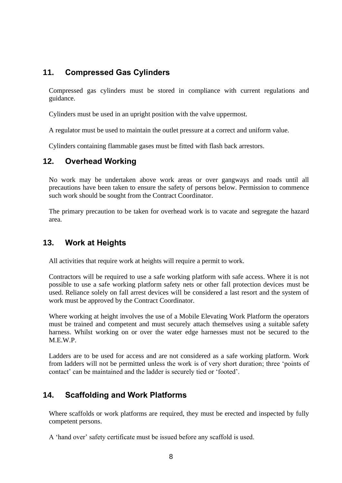# <span id="page-8-0"></span>**11. Compressed Gas Cylinders**

Compressed gas cylinders must be stored in compliance with current regulations and guidance.

Cylinders must be used in an upright position with the valve uppermost.

A regulator must be used to maintain the outlet pressure at a correct and uniform value.

Cylinders containing flammable gases must be fitted with flash back arrestors.

#### <span id="page-8-1"></span>**12. Overhead Working**

No work may be undertaken above work areas or over gangways and roads until all precautions have been taken to ensure the safety of persons below. Permission to commence such work should be sought from the Contract Coordinator.

The primary precaution to be taken for overhead work is to vacate and segregate the hazard area.

## <span id="page-8-2"></span>**13. Work at Heights**

All activities that require work at heights will require a permit to work.

Contractors will be required to use a safe working platform with safe access. Where it is not possible to use a safe working platform safety nets or other fall protection devices must be used. Reliance solely on fall arrest devices will be considered a last resort and the system of work must be approved by the Contract Coordinator.

Where working at height involves the use of a Mobile Elevating Work Platform the operators must be trained and competent and must securely attach themselves using a suitable safety harness. Whilst working on or over the water edge harnesses must not be secured to the M.E.W.P.

Ladders are to be used for access and are not considered as a safe working platform. Work from ladders will not be permitted unless the work is of very short duration; three 'points of contact' can be maintained and the ladder is securely tied or 'footed'.

# <span id="page-8-3"></span>**14. Scaffolding and Work Platforms**

Where scaffolds or work platforms are required, they must be erected and inspected by fully competent persons.

A 'hand over' safety certificate must be issued before any scaffold is used.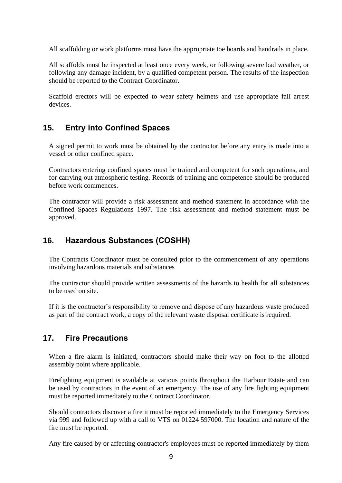All scaffolding or work platforms must have the appropriate toe boards and handrails in place.

All scaffolds must be inspected at least once every week, or following severe bad weather, or following any damage incident, by a qualified competent person. The results of the inspection should be reported to the Contract Coordinator.

Scaffold erectors will be expected to wear safety helmets and use appropriate fall arrest devices.

# <span id="page-9-0"></span>**15. Entry into Confined Spaces**

A signed permit to work must be obtained by the contractor before any entry is made into a vessel or other confined space.

Contractors entering confined spaces must be trained and competent for such operations, and for carrying out atmospheric testing. Records of training and competence should be produced before work commences.

The contractor will provide a risk assessment and method statement in accordance with the Confined Spaces Regulations 1997. The risk assessment and method statement must be approved.

## <span id="page-9-1"></span>**16. Hazardous Substances (COSHH)**

The Contracts Coordinator must be consulted prior to the commencement of any operations involving hazardous materials and substances

The contractor should provide written assessments of the hazards to health for all substances to be used on site.

If it is the contractor's responsibility to remove and dispose of any hazardous waste produced as part of the contract work, a copy of the relevant waste disposal certificate is required.

### <span id="page-9-2"></span>**17. Fire Precautions**

When a fire alarm is initiated, contractors should make their way on foot to the allotted assembly point where applicable.

Firefighting equipment is available at various points throughout the Harbour Estate and can be used by contractors in the event of an emergency. The use of any fire fighting equipment must be reported immediately to the Contract Coordinator.

Should contractors discover a fire it must be reported immediately to the Emergency Services via 999 and followed up with a call to VTS on 01224 597000. The location and nature of the fire must be reported.

Any fire caused by or affecting contractor's employees must be reported immediately by them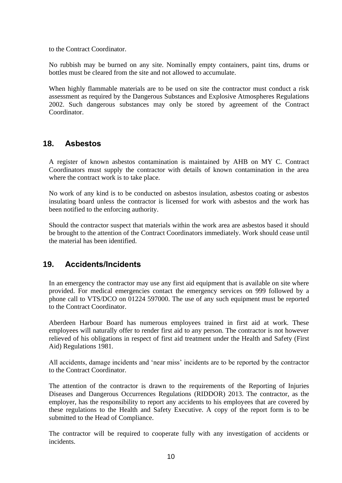to the Contract Coordinator.

No rubbish may be burned on any site. Nominally empty containers, paint tins, drums or bottles must be cleared from the site and not allowed to accumulate.

When highly flammable materials are to be used on site the contractor must conduct a risk assessment as required by the Dangerous Substances and Explosive Atmospheres Regulations 2002. Such dangerous substances may only be stored by agreement of the Contract Coordinator.

## <span id="page-10-0"></span>**18. Asbestos**

A register of known asbestos contamination is maintained by AHB on MY C. Contract Coordinators must supply the contractor with details of known contamination in the area where the contract work is to take place.

No work of any kind is to be conducted on asbestos insulation, asbestos coating or asbestos insulating board unless the contractor is licensed for work with asbestos and the work has been notified to the enforcing authority.

Should the contractor suspect that materials within the work area are asbestos based it should be brought to the attention of the Contract Coordinators immediately. Work should cease until the material has been identified.

# <span id="page-10-1"></span>**19. Accidents/Incidents**

In an emergency the contractor may use any first aid equipment that is available on site where provided. For medical emergencies contact the emergency services on 999 followed by a phone call to VTS/DCO on 01224 597000. The use of any such equipment must be reported to the Contract Coordinator.

Aberdeen Harbour Board has numerous employees trained in first aid at work. These employees will naturally offer to render first aid to any person. The contractor is not however relieved of his obligations in respect of first aid treatment under the Health and Safety (First Aid) Regulations 1981.

All accidents, damage incidents and 'near miss' incidents are to be reported by the contractor to the Contract Coordinator.

The attention of the contractor is drawn to the requirements of the Reporting of Injuries Diseases and Dangerous Occurrences Regulations (RIDDOR) 2013. The contractor, as the employer, has the responsibility to report any accidents to his employees that are covered by these regulations to the Health and Safety Executive. A copy of the report form is to be submitted to the Head of Compliance.

The contractor will be required to cooperate fully with any investigation of accidents or incidents.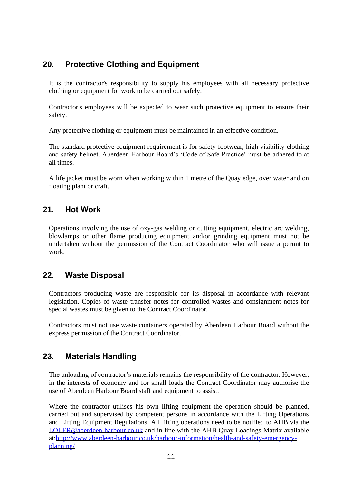# <span id="page-11-0"></span>**20. Protective Clothing and Equipment**

It is the contractor's responsibility to supply his employees with all necessary protective clothing or equipment for work to be carried out safely.

Contractor's employees will be expected to wear such protective equipment to ensure their safety.

Any protective clothing or equipment must be maintained in an effective condition.

The standard protective equipment requirement is for safety footwear, high visibility clothing and safety helmet. Aberdeen Harbour Board's 'Code of Safe Practice' must be adhered to at all times.

A life jacket must be worn when working within 1 metre of the Quay edge, over water and on floating plant or craft.

## <span id="page-11-1"></span>**21. Hot Work**

Operations involving the use of oxy-gas welding or cutting equipment, electric arc welding, blowlamps or other flame producing equipment and/or grinding equipment must not be undertaken without the permission of the Contract Coordinator who will issue a permit to work.

# <span id="page-11-2"></span>**22. Waste Disposal**

Contractors producing waste are responsible for its disposal in accordance with relevant legislation. Copies of waste transfer notes for controlled wastes and consignment notes for special wastes must be given to the Contract Coordinator.

Contractors must not use waste containers operated by Aberdeen Harbour Board without the express permission of the Contract Coordinator.

# <span id="page-11-3"></span>**23. Materials Handling**

The unloading of contractor's materials remains the responsibility of the contractor. However, in the interests of economy and for small loads the Contract Coordinator may authorise the use of Aberdeen Harbour Board staff and equipment to assist.

Where the contractor utilises his own lifting equipment the operation should be planned, carried out and supervised by competent persons in accordance with the Lifting Operations and Lifting Equipment Regulations. All lifting operations need to be notified to AHB via the [LOLER@aberdeen-harbour.co.uk](mailto:LOLER@aberdeen-harbour.co.uk) and in line with the AHB Quay Loadings Matrix available at[:http://www.aberdeen-harbour.co.uk/harbour-information/health-and-safety-emergency](http://www.aberdeen-harbour.co.uk/harbour-information/health-and-safety-emergency-planning/)[planning/](http://www.aberdeen-harbour.co.uk/harbour-information/health-and-safety-emergency-planning/)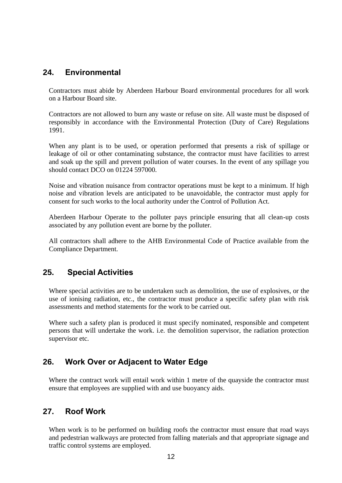### <span id="page-12-0"></span>**24. Environmental**

Contractors must abide by Aberdeen Harbour Board environmental procedures for all work on a Harbour Board site.

Contractors are not allowed to burn any waste or refuse on site. All waste must be disposed of responsibly in accordance with the Environmental Protection (Duty of Care) Regulations 1991.

When any plant is to be used, or operation performed that presents a risk of spillage or leakage of oil or other contaminating substance, the contractor must have facilities to arrest and soak up the spill and prevent pollution of water courses. In the event of any spillage you should contact DCO on 01224 597000.

Noise and vibration nuisance from contractor operations must be kept to a minimum. If high noise and vibration levels are anticipated to be unavoidable, the contractor must apply for consent for such works to the local authority under the Control of Pollution Act.

Aberdeen Harbour Operate to the polluter pays principle ensuring that all clean-up costs associated by any pollution event are borne by the polluter.

All contractors shall adhere to the AHB Environmental Code of Practice available from the Compliance Department.

### <span id="page-12-1"></span>**25. Special Activities**

Where special activities are to be undertaken such as demolition, the use of explosives, or the use of ionising radiation, etc., the contractor must produce a specific safety plan with risk assessments and method statements for the work to be carried out.

Where such a safety plan is produced it must specify nominated, responsible and competent persons that will undertake the work. i.e. the demolition supervisor, the radiation protection supervisor etc.

### <span id="page-12-2"></span>**26. Work Over or Adjacent to Water Edge**

Where the contract work will entail work within 1 metre of the quayside the contractor must ensure that employees are supplied with and use buoyancy aids.

### <span id="page-12-3"></span>**27. Roof Work**

When work is to be performed on building roofs the contractor must ensure that road ways and pedestrian walkways are protected from falling materials and that appropriate signage and traffic control systems are employed.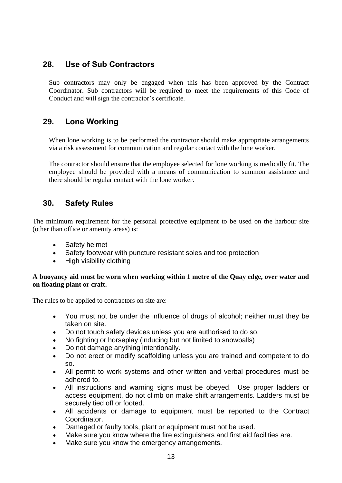## <span id="page-13-0"></span>**28. Use of Sub Contractors**

Sub contractors may only be engaged when this has been approved by the Contract Coordinator. Sub contractors will be required to meet the requirements of this Code of Conduct and will sign the contractor's certificate.

# <span id="page-13-1"></span>**29. Lone Working**

When lone working is to be performed the contractor should make appropriate arrangements via a risk assessment for communication and regular contact with the lone worker.

The contractor should ensure that the employee selected for lone working is medically fit. The employee should be provided with a means of communication to summon assistance and there should be regular contact with the lone worker.

## <span id="page-13-2"></span>**30. Safety Rules**

The minimum requirement for the personal protective equipment to be used on the harbour site (other than office or amenity areas) is:

- Safety helmet
- Safety footwear with puncture resistant soles and toe protection
- High visibility clothing

#### **A buoyancy aid must be worn when working within 1 metre of the Quay edge, over water and on floating plant or craft.**

The rules to be applied to contractors on site are:

- You must not be under the influence of drugs of alcohol; neither must they be taken on site.
- Do not touch safety devices unless you are authorised to do so.
- No fighting or horseplay (inducing but not limited to snowballs)
- Do not damage anything intentionally.
- Do not erect or modify scaffolding unless you are trained and competent to do so.
- All permit to work systems and other written and verbal procedures must be adhered to.
- All instructions and warning signs must be obeyed. Use proper ladders or access equipment, do not climb on make shift arrangements. Ladders must be securely tied off or footed.
- All accidents or damage to equipment must be reported to the Contract Coordinator.
- Damaged or faulty tools, plant or equipment must not be used.
- Make sure you know where the fire extinguishers and first aid facilities are.
- Make sure you know the emergency arrangements.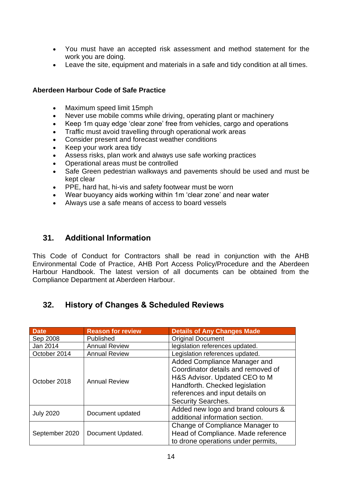- You must have an accepted risk assessment and method statement for the work you are doing.
- Leave the site, equipment and materials in a safe and tidy condition at all times.

#### **Aberdeen Harbour Code of Safe Practice**

- Maximum speed limit 15mph
- Never use mobile comms while driving, operating plant or machinery
- Keep 1m quay edge 'clear zone' free from vehicles, cargo and operations
- Traffic must avoid travelling through operational work areas
- Consider present and forecast weather conditions
- Keep your work area tidy
- Assess risks, plan work and always use safe working practices
- Operational areas must be controlled
- Safe Green pedestrian walkways and pavements should be used and must be kept clear
- PPE, hard hat, hi-vis and safety footwear must be worn
- Wear buoyancy aids working within 1m 'clear zone' and near water
- Always use a safe means of access to board vessels

### <span id="page-14-0"></span>**31. Additional Information**

This Code of Conduct for Contractors shall be read in conjunction with the AHB Environmental Code of Practice, AHB Port Access Policy/Procedure and the Aberdeen Harbour Handbook. The latest version of all documents can be obtained from the Compliance Department at Aberdeen Harbour.

# <span id="page-14-1"></span>**32. History of Changes & Scheduled Reviews**

| <b>Date</b>      | <b>Reason for review</b> | <b>Details of Any Changes Made</b> |  |
|------------------|--------------------------|------------------------------------|--|
| Sep 2008         | Published                | <b>Original Document</b>           |  |
| Jan 2014         | <b>Annual Review</b>     | legislation references updated.    |  |
| October 2014     | <b>Annual Review</b>     | Legislation references updated.    |  |
|                  | <b>Annual Review</b>     | Added Compliance Manager and       |  |
|                  |                          | Coordinator details and removed of |  |
| October 2018     |                          | H&S Advisor. Updated CEO to M      |  |
|                  |                          | Handforth. Checked legislation     |  |
|                  |                          | references and input details on    |  |
|                  |                          | <b>Security Searches.</b>          |  |
| <b>July 2020</b> | Document updated         | Added new logo and brand colours & |  |
|                  |                          | additional information section.    |  |
|                  |                          | Change of Compliance Manager to    |  |
| September 2020   | Document Updated.        | Head of Compliance. Made reference |  |
|                  |                          | to drone operations under permits, |  |